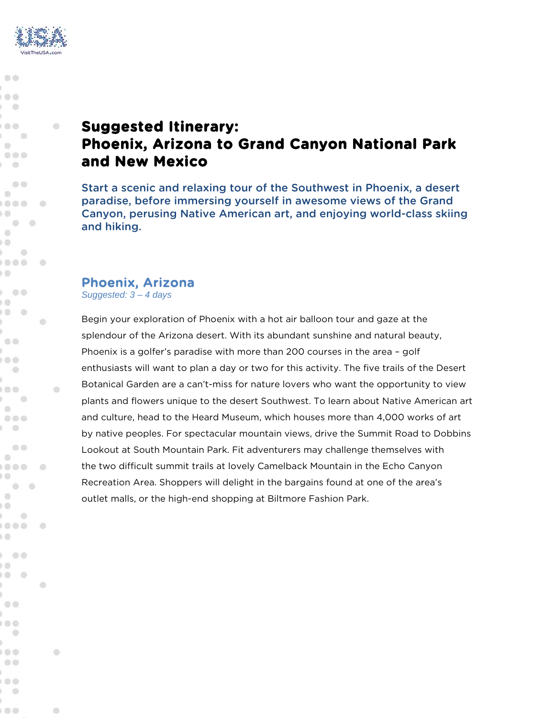

亦

 $00$ 

 $000$  $\cdots$ í ...

 $\mathcal{L} = \mathcal{L}$  $\circledcirc$  $0<0$  $\blacksquare$ 

 $00$  $\circledcirc$  $0 0 0 0$ 

 $\sqrt{2}$  $\qquad \qquad \circ$  $\begin{array}{ccc}\n\circ & & \circ & \circ\n\end{array}$ ) (D  $\rightarrow$ ....

) (j)

ý.  $00$ ý.  $00$  $\circ$ ý.

 $(1, 0, 0)$  $\begin{array}{c} \circledcirc \circledcirc \end{array}$  $\circ \circ \circ$  $\sum_{i=1}^{n}$ 

 $00$  $\begin{array}{c} \circ \\ \circ \circ \end{array}$ ....

 $\Theta$  $\begin{array}{ccc} & \circ & \circ \end{array}$  $<sup>1</sup>$ </sup> ) (D  $\sqrt{2}$ ....

 $(1)$ 

ý.  $\circ$ ý.  $0 0 0$  $\begin{array}{c} \begin{array}{c} \begin{array}{c} \end{array} \end{array} \end{array}$ s.  $0<sup>o</sup>$ 

 $\circ$ 

 $\circ$ . . V.  $-00$ 

 $\rightarrow$ O.  $0 0$ k.

G)

**IB** 

 $\begin{array}{c} \circ \\ \circ \circ \circ \end{array}$ 

**COL** 

ö

 $0<sup>o</sup>$  $(1)$  $0 - 0$ y.

di.

 $\sqrt{2}$ 

**Ob** 

 $\oplus$ 

# **Suggested Itinerary: Phoenix, Arizona to Grand Canyon National Park and New Mexico**

Start a scenic and relaxing tour of the Southwest in Phoenix, a desert paradise, before immersing yourself in awesome views of the Grand Canyon, perusing Native American art, and enjoying world-class skiing and hiking.

#### Phoenix, Arizona

*Suggested: 3 – 4 days*

Begin your exploration of Phoenix with a hot air balloon tour and gaze at the splendour of the Arizona desert. With its abundant sunshine and natural beauty, Phoenix is a golfer's paradise with more than 200 courses in the area – golf enthusiasts will want to plan a day or two for this activity. The five trails of the Desert Botanical Garden are a can't-miss for nature lovers who want the opportunity to view plants and flowers unique to the desert Southwest. To learn about Native American art and culture, head to the Heard Museum, which houses more than 4,000 works of art by native peoples. For spectacular mountain views, drive the Summit Road to Dobbins Lookout at South Mountain Park. Fit adventurers may challenge themselves with the two difficult summit trails at lovely Camelback Mountain in the Echo Canyon Recreation Area. Shoppers will delight in the bargains found at one of the area's outlet malls, or the high-end shopping at Biltmore Fashion Park.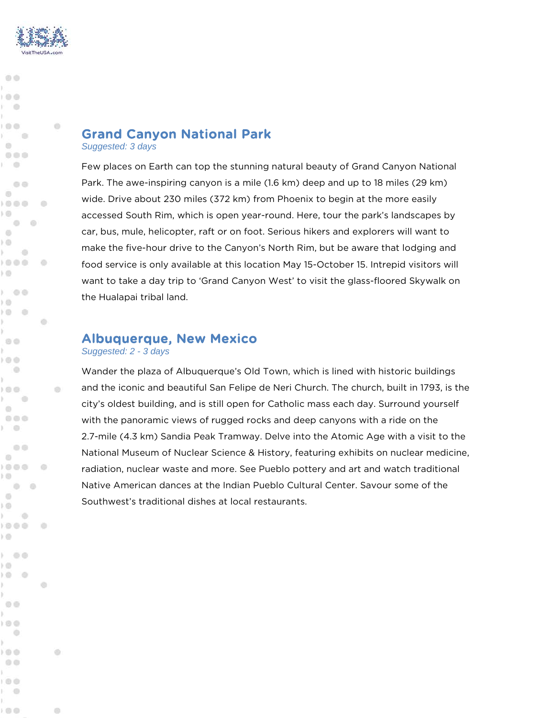

**chi** 

 $@@@$ 

 $100$ i o ¥.  $1.000$ 

1 画  $\odot$  $0<0$ 计曲

 $-0$  $\circledcirc$  $0000$ 

 $\circ$   $\circ$  $\langle \cdot \rangle$ ) O  $1 - 0$  $0.000$ 

) (D

**VO** 

V. s  $00$ 

 $(00)$  $\omega$ ×

 $(1)$  $\mathcal{L} = \mathcal{L}$  $\begin{array}{c} \circ \\ \circ \circ \circ \end{array}$  $\odot \odot \odot$  $\rightarrow$ 

 $0.0$  $\odot$  $0.000$ 

) O  $\circ$  $\bullet$ 

 $^{12}$  $10$ - 6 У. 1808

 $(1)$ 

y. k  $00$ b.  $100$  $\circ$ 

 $00$ 

 $00$ 

 $\mathbf{r} \odot \mathbf{r}$ 1000 H.  $\rightarrow$ 

 $\circ$ У. ) (D  $000$  G

**IB** 

 $\begin{array}{c} \circ \\ \circ \circ \end{array}$ 

 $\alpha$ 

ø

 $1 00$  $1.01$ ) (D  $-0$  ch.

**O** 

ill.

 $\sim$ 

## Grand Canyon National Park

*Suggested: 3 days*

Few places on Earth can top the stunning natural beauty of Grand Canyon National Park. The awe-inspiring canyon is a mile (1.6 km) deep and up to 18 miles (29 km) wide. Drive about 230 miles (372 km) from Phoenix to begin at the more easily accessed South Rim, which is open year-round. Here, tour the park's landscapes by car, bus, mule, helicopter, raft or on foot. Serious hikers and explorers will want to make the five-hour drive to the Canyon's North Rim, but be aware that lodging and food service is only available at this location May 15-October 15. Intrepid visitors will want to take a day trip to 'Grand Canyon West' to visit the glass-floored Skywalk on the Hualapai tribal land.

### Albuquerque, New Mexico

*Suggested: 2 - 3 days*

Wander the plaza of Albuquerque's Old Town, which is lined with historic buildings and the iconic and beautiful San Felipe de Neri Church. The church, built in 1793, is the city's oldest building, and is still open for Catholic mass each day. Surround yourself with the panoramic views of rugged rocks and deep canyons with a ride on the 2.7-mile (4.3 km) Sandia Peak Tramway. Delve into the Atomic Age with a visit to the National Museum of Nuclear Science & History, featuring exhibits on nuclear medicine, radiation, nuclear waste and more. See Pueblo pottery and art and watch traditional Native American dances at the Indian Pueblo Cultural Center. Savour some of the Southwest's traditional dishes at local restaurants.